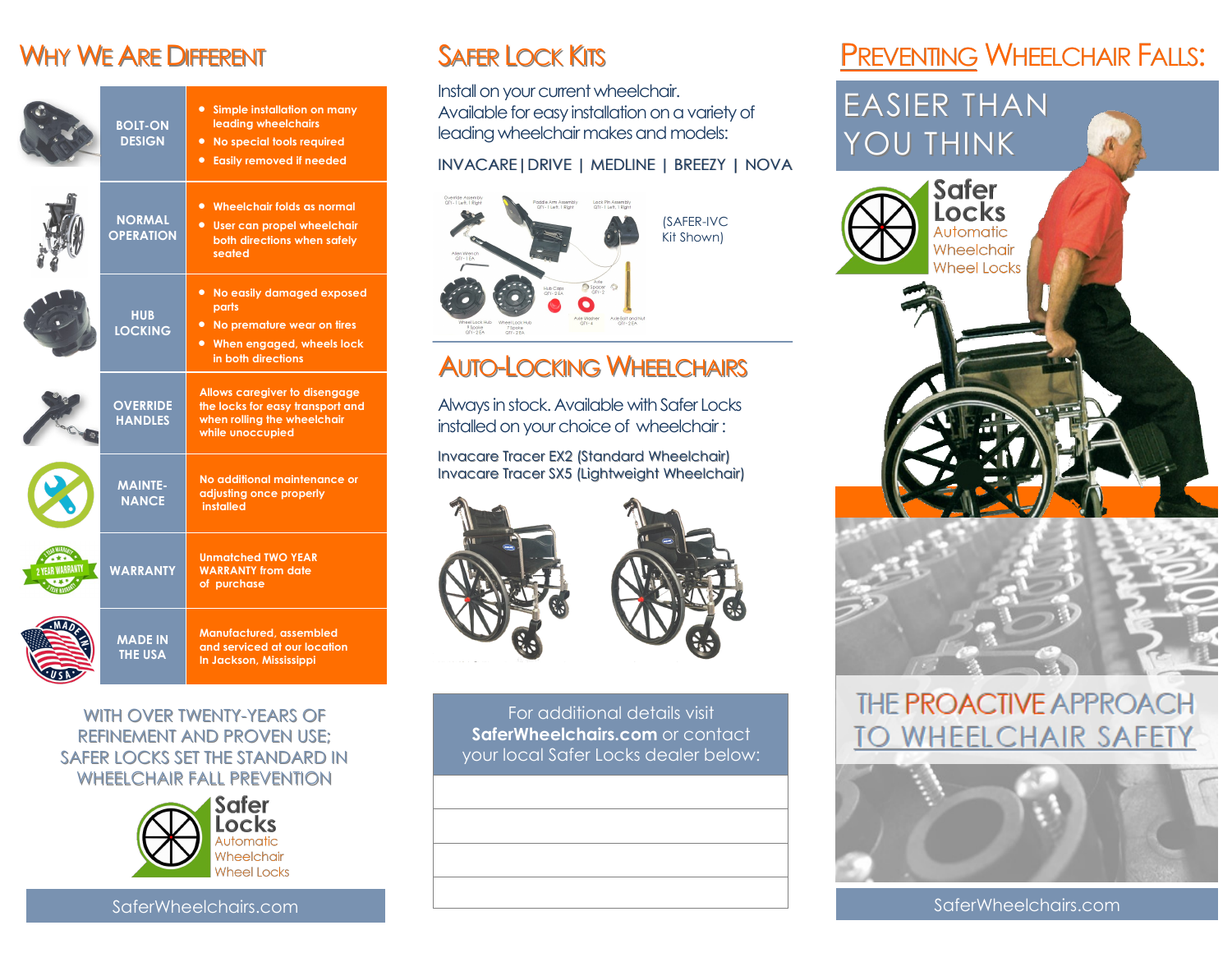### WHY WE ARE DIFFERENT

| <b>BOLT-ON</b><br><b>DESIGN</b>   | • Simple installation on many<br>leading wheelchairs<br>• No special tools required<br><b>•</b> Easily removed if needed  |
|-----------------------------------|---------------------------------------------------------------------------------------------------------------------------|
| <b>NORMAL</b><br><b>OPERATION</b> | • Wheelchair folds as normal<br>• User can propel wheelchair<br>both directions when safely<br>seated                     |
| <b>HUB</b><br><b>LOCKING</b>      | • No easily damaged exposed<br>parts<br>• No premature wear on tires<br>• When engaged, wheels lock<br>in both directions |
| <b>OVERRIDE</b><br><b>HANDLES</b> | Allows caregiver to disengage<br>the locks for easy transport and<br>when rolling the wheelchair<br>while unoccupied      |
| <b>MAINTE-</b><br><b>NANCE</b>    | No additional maintenance or<br>adjusting once properly<br>installed                                                      |
| <b>WARRANTY</b>                   | <b>Unmatched TWO YEAR</b><br><b>WARRANTY from date</b><br>of purchase                                                     |
| <b>MADE IN</b><br><b>THE USA</b>  | Manufactured, assembled<br>and serviced at our location<br>In Jackson, Mississippi                                        |

WITH OVER TWENTY-YEARS OF REFINEMENT AND PROVEN USE; SAFER LOCKS SET THE STANDARD IN WHEELCHAIR FALL PREVENTION



# SAFER LOCK KITS

Install on your current wheelchair. Available for easy installation on a variety of leading wheelchair makes and models:

#### INVACARE|DRIVE | MEDLINE | BREEZY | NOVA



# AUTO-LOCKING WHEELCHAIRS

Always in stock. Available with Safer Locks installed on your choice of wheelchair :

Invacare Tracer EX2 (Standard Wheelchair) Invacare Tracer SX5 (Lightweight Wheelchair)





For additional details visit **SaferWheelchairs.com** or contact your local Safer Locks dealer below:

# **PREVENTING WHEELCHAIR FALLS:**

# EASIER THAN YOU THINK



# THE PROACTIVE APPROACH **TO WHEELCHAIR SAFETY**



SaferWheelchairs.com